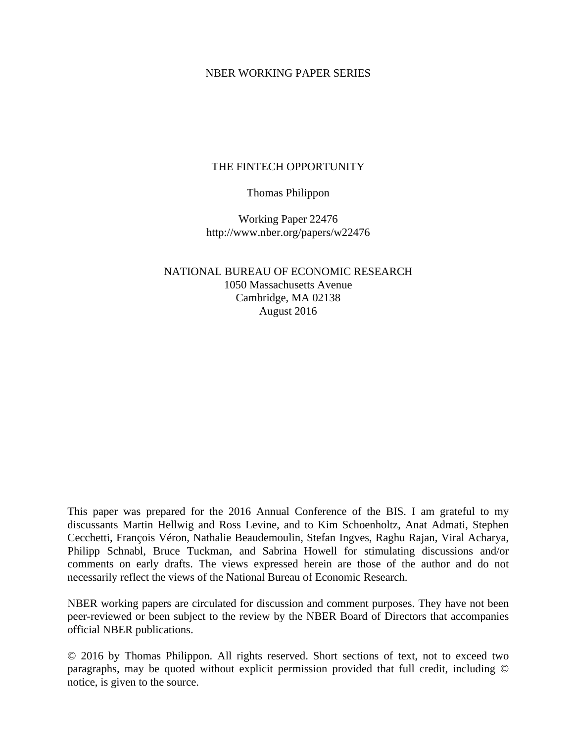### NBER WORKING PAPER SERIES

### THE FINTECH OPPORTUNITY

### Thomas Philippon

Working Paper 22476 http://www.nber.org/papers/w22476

NATIONAL BUREAU OF ECONOMIC RESEARCH 1050 Massachusetts Avenue Cambridge, MA 02138 August 2016

This paper was prepared for the 2016 Annual Conference of the BIS. I am grateful to my discussants Martin Hellwig and Ross Levine, and to Kim Schoenholtz, Anat Admati, Stephen Cecchetti, François Véron, Nathalie Beaudemoulin, Stefan Ingves, Raghu Rajan, Viral Acharya, Philipp Schnabl, Bruce Tuckman, and Sabrina Howell for stimulating discussions and/or comments on early drafts. The views expressed herein are those of the author and do not necessarily reflect the views of the National Bureau of Economic Research.

NBER working papers are circulated for discussion and comment purposes. They have not been peer-reviewed or been subject to the review by the NBER Board of Directors that accompanies official NBER publications.

© 2016 by Thomas Philippon. All rights reserved. Short sections of text, not to exceed two paragraphs, may be quoted without explicit permission provided that full credit, including © notice, is given to the source.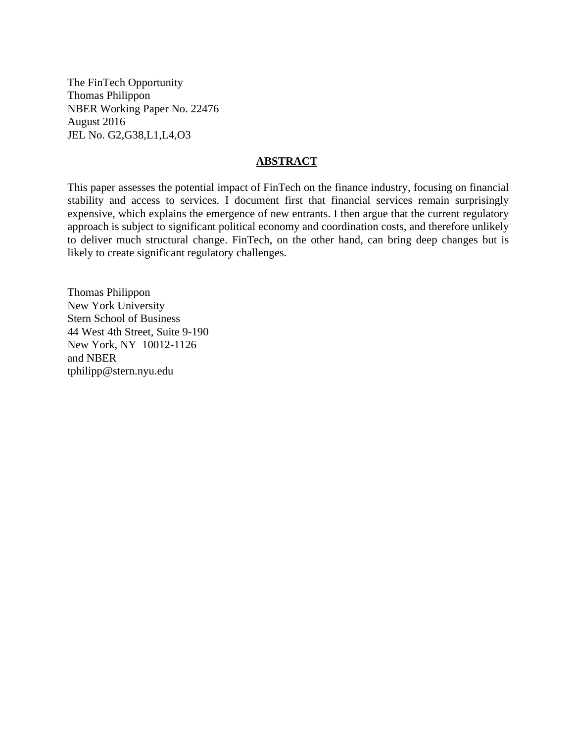The FinTech Opportunity Thomas Philippon NBER Working Paper No. 22476 August 2016 JEL No. G2,G38,L1,L4,O3

### **ABSTRACT**

This paper assesses the potential impact of FinTech on the finance industry, focusing on financial stability and access to services. I document first that financial services remain surprisingly expensive, which explains the emergence of new entrants. I then argue that the current regulatory approach is subject to significant political economy and coordination costs, and therefore unlikely to deliver much structural change. FinTech, on the other hand, can bring deep changes but is likely to create significant regulatory challenges.

Thomas Philippon New York University Stern School of Business 44 West 4th Street, Suite 9-190 New York, NY 10012-1126 and NBER tphilipp@stern.nyu.edu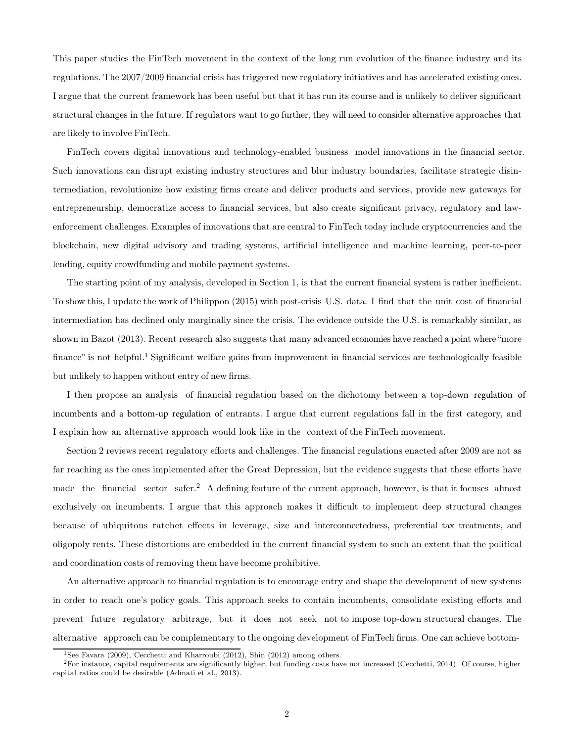This paper studies the FinTech movement in the context of the long run evolution of the finance industry and its regulations. The 2007/2009 financial crisis has triggered new regulatory initiatives and has accelerated existing ones. I argue that the current framework has been useful but that it has run its course and is unlikely to deliver significant structural changes in the future. If regulators want to go further, they will need to consider alternative approaches that are likely to involve FinTech.

FinTech covers digital innovations and technology-enabled business model innovations in the financial sector. Such innovations can disrupt existing industry structures and blur industry boundaries, facilitate strategic disintermediation, revolutionize how existing firms create and deliver products and services, provide new gateways for entrepreneurship, democratize access to financial services, but also create significant privacy, regulatory and lawenforcement challenges. Examples of innovations that are central to FinTech today include cryptocurrencies and the blockchain, new digital advisory and trading systems, artificial intelligence and machine learning, peer-to-peer lending, equity crowdfunding and mobile payment systems.

The starting point of my analysis, developed in Section 1, is that the current financial system is rather inefficient. To show this, I update the work of Philippon (2015) with post-crisis U.S. data. I find that the unit cost of financial intermediation has declined only marginally since the crisis. The evidence outside the U.S. is remarkably similar, as shown in Bazot (2013). Recent research also suggests that many advanced economies have reached a point where "more finance" is not helpful.<sup>1</sup> Significant welfare gains from improvement in financial services are technologically feasible but unlikely to happen without entry of new firms.

I then propose an analysis of financial regulation based on the dichotomy between a top-down regulation of incumbents and a bottom-up regulation of entrants. I argue that current regulations fall in the first category, and I explain how an alternative approach would look like in the context of the FinTech movement.

Section 2 reviews recent regulatory efforts and challenges. The financial regulations enacted after 2009 are not as far reaching as the ones implemented after the Great Depression, but the evidence suggests that these efforts have made the financial sector safer.<sup>2</sup> A defining feature of the current approach, however, is that it focuses almost exclusively on incumbents. I argue that this approach makes it difficult to implement deep structural changes because of ubiquitous ratchet effects in leverage, size and interconnectedness, preferential tax treatments, and oligopoly rents. These distortions are embedded in the current financial system to such an extent that the political and coordination costs of removing them have become prohibitive.

An alternative approach to financial regulation is to encourage entry and shape the development of new systems in order to reach one's policy goals. This approach seeks to contain incumbents, consolidate existing efforts and prevent future regulatory arbitrage, but it does not seek not to impose top-down structural changes. The alternative approach can be complementary to the ongoing development of FinTech firms. One can achieve bottom-

<sup>&</sup>lt;sup>1</sup>See Favara (2009), Cecchetti and Kharroubi (2012), Shin (2012) among others.  $2F_{\text{O}}$  instance, capital requirements are significantly higher, but funding costs have not increased (Cecchetti, 2014). Of course, higher capital ratios could be desirable (Admati et al., 2013).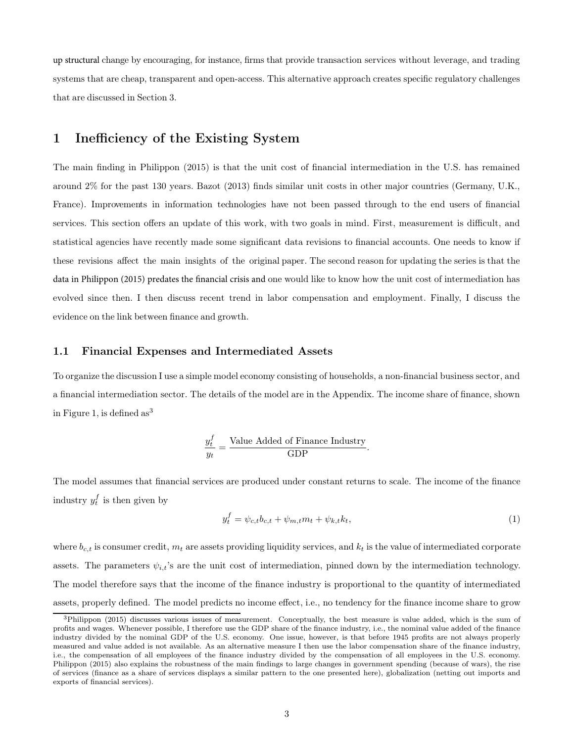up structural change by encouraging, for instance, firms that provide transaction services without leverage, and trading systems that are cheap, transparent and open-access. This alternative approach creates specific regulatory challenges that are discussed in Section 3.

### 1 Inefficiency of the Existing System

The main finding in Philippon (2015) is that the unit cost of financial intermediation in the U.S. has remained around 2% for the past 130 years. Bazot (2013) finds similar unit costs in other major countries (Germany, U.K., France). Improvements in information technologies have not been passed through to the end users of financial services. This section offers an update of this work, with two goals in mind. First, measurement is difficult, and statistical agencies have recently made some significant data revisions to financial accounts. One needs to know if these revisions affect the main insights of the original paper. The second reason for updating the series is that the data in Philippon (2015) predates the financial crisis and one would like to know how the unit cost of intermediation has evolved since then. I then discuss recent trend in labor compensation and employment. Finally, I discuss the evidence on the link between finance and growth.

#### 1.1 Financial Expenses and Intermediated Assets

To organize the discussion I use a simple model economy consisting of households, a non-financial business sector, and a financial intermediation sector. The details of the model are in the Appendix. The income share of finance, shown in Figure 1, is defined as<sup>3</sup>

$$
\frac{y_t^f}{y_t} = \frac{\text{Value added of Finance Industry}}{\text{GDP}}.
$$

The model assumes that financial services are produced under constant returns to scale. The income of the finance industry  $y_t^f$  is then given by

$$
y_t^f = \psi_{c,t} b_{c,t} + \psi_{m,t} m_t + \psi_{k,t} k_t,
$$
\n(1)

where  $b_{c,t}$  is consumer credit,  $m_t$  are assets providing liquidity services, and  $k_t$  is the value of intermediated corporate assets. The parameters  $\psi_{i,t}$ 's are the unit cost of intermediation, pinned down by the intermediation technology. The model therefore says that the income of the finance industry is proportional to the quantity of intermediated assets, properly defined. The model predicts no income effect, i.e., no tendency for the finance income share to grow

<sup>3</sup>Philippon (2015) discusses various issues of measurement. Conceptually, the best measure is value added, which is the sum of profits and wages. Whenever possible, I therefore use the GDP share of the finance industry, i.e., the nominal value added of the finance industry divided by the nominal GDP of the U.S. economy. One issue, however, is that before 1945 profits are not always properly measured and value added is not available. As an alternative measure I then use the labor compensation share of the finance industry, i.e., the compensation of all employees of the finance industry divided by the compensation of all employees in the U.S. economy. Philippon (2015) also explains the robustness of the main findings to large changes in government spending (because of wars), the rise of services (finance as a share of services displays a similar pattern to the one presented here), globalization (netting out imports and exports of financial services).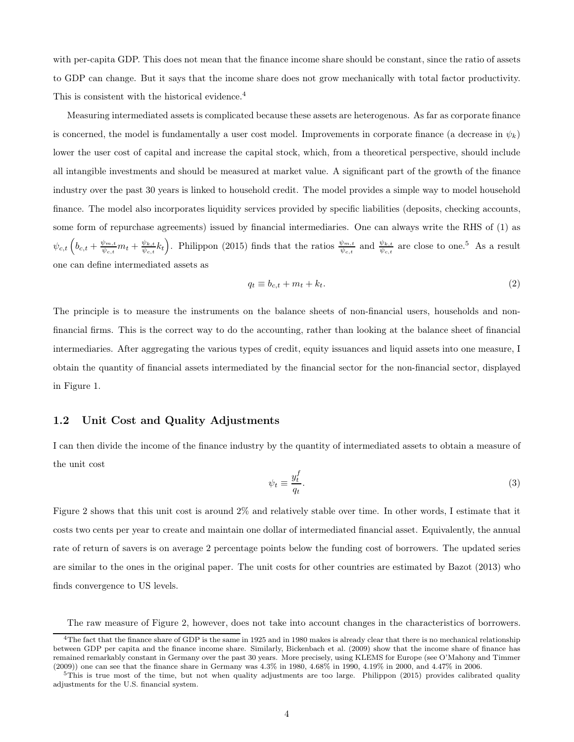with per-capita GDP. This does not mean that the finance income share should be constant, since the ratio of assets to GDP can change. But it says that the income share does not grow mechanically with total factor productivity. This is consistent with the historical evidence.<sup>4</sup>

Measuring intermediated assets is complicated because these assets are heterogenous. As far as corporate finance is concerned, the model is fundamentally a user cost model. Improvements in corporate finance (a decrease in  $\psi_k$ ) lower the user cost of capital and increase the capital stock, which, from a theoretical perspective, should include all intangible investments and should be measured at market value. A significant part of the growth of the finance industry over the past 30 years is linked to household credit. The model provides a simple way to model household finance. The model also incorporates liquidity services provided by specific liabilities (deposits, checking accounts, some form of repurchase agreements) issued by financial intermediaries. One can always write the RHS of (1) as  $\psi_{c,t}\left(b_{c,t} + \frac{\psi_{m,t}}{\psi_{c,t}}m_t + \frac{\psi_{k,t}}{\psi_{c,t}}k_t\right)$ . Philippon (2015) finds that the ratios  $\frac{\psi_{m,t}}{\psi_{c,t}}$  and  $\frac{\psi_{k,t}}{\psi_{c,t}}$  are close to one.<sup>5</sup> As a result one can define intermediated assets as

$$
q_t \equiv b_{c,t} + m_t + k_t. \tag{2}
$$

The principle is to measure the instruments on the balance sheets of non-financial users, households and nonfinancial firms. This is the correct way to do the accounting, rather than looking at the balance sheet of financial intermediaries. After aggregating the various types of credit, equity issuances and liquid assets into one measure, I obtain the quantity of financial assets intermediated by the financial sector for the non-financial sector, displayed in Figure 1.

#### 1.2 Unit Cost and Quality Adjustments

I can then divide the income of the finance industry by the quantity of intermediated assets to obtain a measure of the unit cost

$$
\psi_t \equiv \frac{y_t^f}{q_t}.\tag{3}
$$

Figure 2 shows that this unit cost is around 2% and relatively stable over time. In other words, I estimate that it costs two cents per year to create and maintain one dollar of intermediated financial asset. Equivalently, the annual rate of return of savers is on average 2 percentage points below the funding cost of borrowers. The updated series are similar to the ones in the original paper. The unit costs for other countries are estimated by Bazot (2013) who finds convergence to US levels.

The raw measure of Figure 2, however, does not take into account changes in the characteristics of borrowers.

 $4$ The fact that the finance share of GDP is the same in 1925 and in 1980 makes is already clear that there is no mechanical relationship between GDP per capita and the finance income share. Similarly, Bickenbach et al. (2009) show that the income share of finance has remained remarkably constant in Germany over the past 30 years. More precisely, using KLEMS for Europe (see O'Mahony and Timmer (2009)) one can see that the finance share in Germany was 4.3% in 1980, 4.68% in 1990, 4.19% i

 $5$ This is true most of the time, but not when quality adjustments are too large. Philippon (2015) provides calibrated quality adjustments for the U.S. financial system.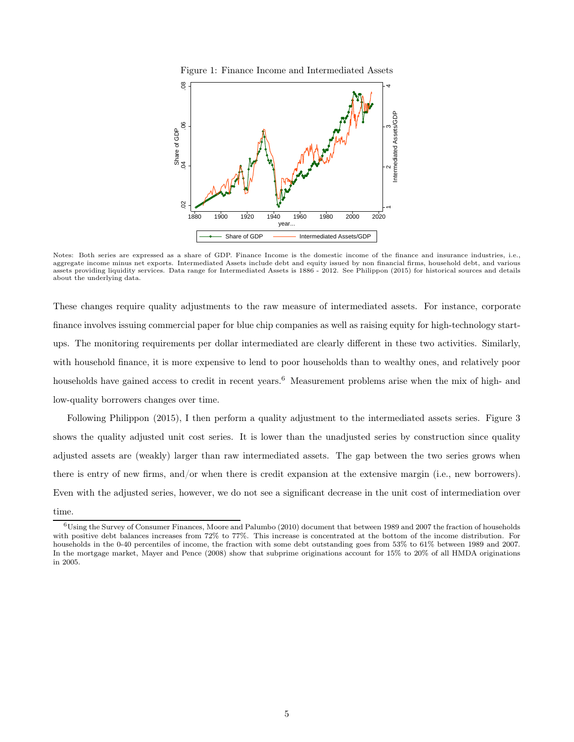



Notes: Both series are expressed as a share of GDP. Finance Income is the domestic income of the finance and insurance industries, i.e., aggregate income minus net exports. Intermediated Assets include debt and equity issued by non financial firms, household debt, and various assets providing liquidity services. Data range for Intermediated Assets is 1886 - 2012. See Philippon (2015) for historical sources and details about the underlying data.

These changes require quality adjustments to the raw measure of intermediated assets. For instance, corporate finance involves issuing commercial paper for blue chip companies as well as raising equity for high-technology startups. The monitoring requirements per dollar intermediated are clearly different in these two activities. Similarly, with household finance, it is more expensive to lend to poor households than to wealthy ones, and relatively poor households have gained access to credit in recent years.<sup>6</sup> Measurement problems arise when the mix of high- and low-quality borrowers changes over time.

Following Philippon (2015), I then perform a quality adjustment to the intermediated assets series. Figure 3 shows the quality adjusted unit cost series. It is lower than the unadjusted series by construction since quality adjusted assets are (weakly) larger than raw intermediated assets. The gap between the two series grows when there is entry of new firms, and/or when there is credit expansion at the extensive margin (i.e., new borrowers). Even with the adjusted series, however, we do not see a significant decrease in the unit cost of intermediation over

time.

 $6$ Using the Survey of Consumer Finances, Moore and Palumbo (2010) document that between 1989 and 2007 the fraction of households with positive debt balances increases from 72% to 77%. This increase is concentrated at the bottom of the income distribution. For households in the 0-40 percentiles of income, the fraction with some debt outstanding goes from 53% to 61% between 1989 and 2007. In the mortgage market, Mayer and Pence (2008) show that subprime originations account for 15% to 20% of all HMDA originations in 2005.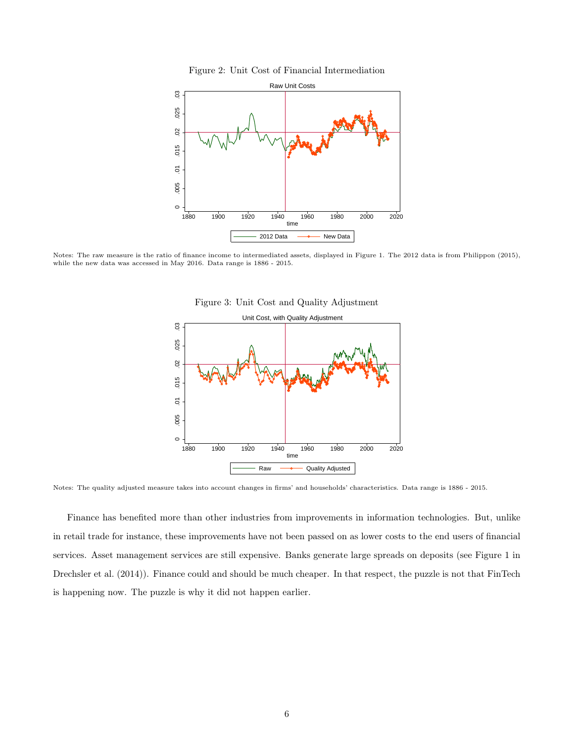



Notes: The raw measure is the ratio of finance income to intermediated assets, displayed in Figure 1. The 2012 data is from Philippon (2015), while the new data was accessed in May 2016. Data range is 1886 - 2015.



Figure 3: Unit Cost and Quality Adjustment

Notes: The quality adjusted measure takes into account changes in firms' and households' characteristics. Data range is 1886 - 2015.

Finance has benefited more than other industries from improvements in information technologies. But, unlike in retail trade for instance, these improvements have not been passed on as lower costs to the end users of financial services. Asset management services are still expensive. Banks generate large spreads on deposits (see Figure 1 in Drechsler et al. (2014)). Finance could and should be much cheaper. In that respect, the puzzle is not that FinTech is happening now. The puzzle is why it did not happen earlier.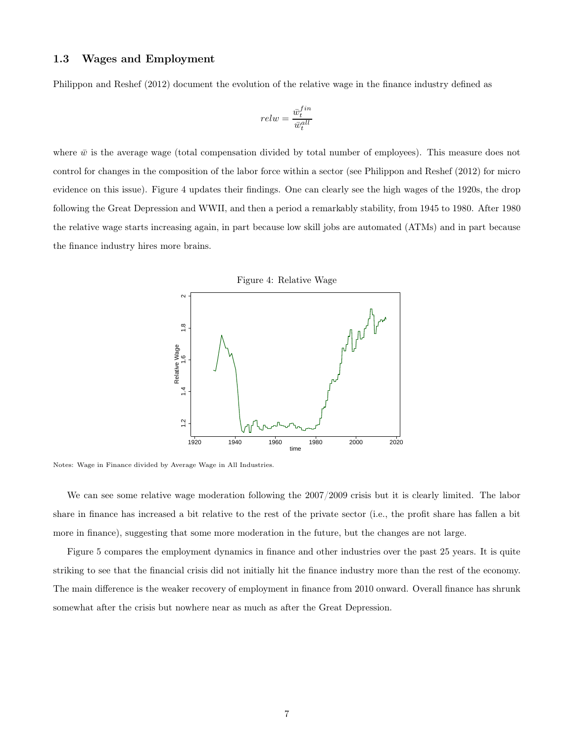### 1.3 Wages and Employment

Philippon and Reshef (2012) document the evolution of the relative wage in the finance industry defined as

$$
relu = \frac{\bar{w}^{fin}_t}{\bar{w}^{all}_t}
$$

where  $\bar{w}$  is the average wage (total compensation divided by total number of employees). This measure does not control for changes in the composition of the labor force within a sector (see Philippon and Reshef (2012) for micro evidence on this issue). Figure 4 updates their findings. One can clearly see the high wages of the 1920s, the drop following the Great Depression and WWII, and then a period a remarkably stability, from 1945 to 1980. After 1980 the relative wage starts increasing again, in part because low skill jobs are automated (ATMs) and in part because the finance industry hires more brains.



Notes: Wage in Finance divided by Average Wage in All Industries.

We can see some relative wage moderation following the 2007/2009 crisis but it is clearly limited. The labor share in finance has increased a bit relative to the rest of the private sector (i.e., the profit share has fallen a bit more in finance), suggesting that some more moderation in the future, but the changes are not large.

Figure 5 compares the employment dynamics in finance and other industries over the past 25 years. It is quite striking to see that the financial crisis did not initially hit the finance industry more than the rest of the economy. The main difference is the weaker recovery of employment in finance from 2010 onward. Overall finance has shrunk somewhat after the crisis but nowhere near as much as after the Great Depression.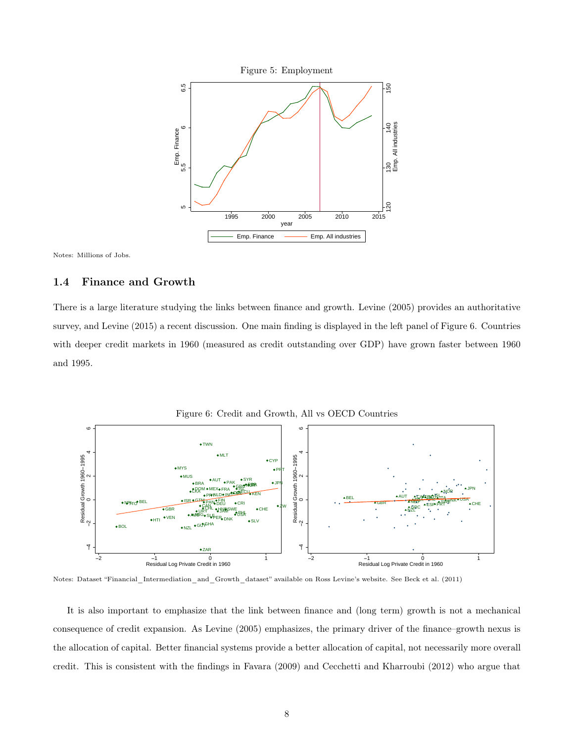

Notes: Millions of Jobs.

#### 1.4 Finance and Growth

There is a large literature studying the links between finance and growth. Levine (2005) provides an authoritative survey, and Levine (2015) a recent discussion. One main finding is displayed in the left panel of Figure 6. Countries with deeper credit markets in 1960 (measured as credit outstanding over GDP) have grown faster between 1960 and 1995.



Notes: Dataset "Financial\_Intermediation\_and\_Growth\_dataset" available on Ross Levine's website. See Beck et al. (2011)

It is also important to emphasize that the link between finance and (long term) growth is not a mechanical consequence of credit expansion. As Levine (2005) emphasizes, the primary driver of the finance–growth nexus is the allocation of capital. Better financial systems provide a better allocation of capital, not necessarily more overall credit. This is consistent with the findings in Favara (2009) and Cecchetti and Kharroubi (2012) who argue that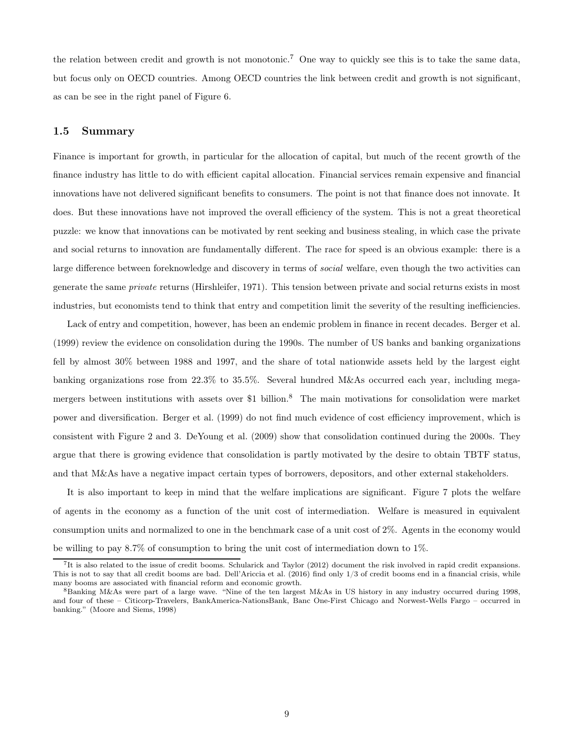the relation between credit and growth is not monotonic.<sup>7</sup> One way to quickly see this is to take the same data, but focus only on OECD countries. Among OECD countries the link between credit and growth is not significant, as can be see in the right panel of Figure 6.

### 1.5 Summary

Finance is important for growth, in particular for the allocation of capital, but much of the recent growth of the finance industry has little to do with efficient capital allocation. Financial services remain expensive and financial innovations have not delivered significant benefits to consumers. The point is not that finance does not innovate. It does. But these innovations have not improved the overall efficiency of the system. This is not a great theoretical puzzle: we know that innovations can be motivated by rent seeking and business stealing, in which case the private and social returns to innovation are fundamentally different. The race for speed is an obvious example: there is a large difference between foreknowledge and discovery in terms of social welfare, even though the two activities can generate the same private returns (Hirshleifer, 1971). This tension between private and social returns exists in most industries, but economists tend to think that entry and competition limit the severity of the resulting inefficiencies.

Lack of entry and competition, however, has been an endemic problem in finance in recent decades. Berger et al. (1999) review the evidence on consolidation during the 1990s. The number of US banks and banking organizations fell by almost 30% between 1988 and 1997, and the share of total nationwide assets held by the largest eight banking organizations rose from 22.3% to 35.5%. Several hundred M&As occurred each year, including megamergers between institutions with assets over \$1 billion.<sup>8</sup> The main motivations for consolidation were market power and diversification. Berger et al. (1999) do not find much evidence of cost efficiency improvement, which is consistent with Figure 2 and 3. DeYoung et al. (2009) show that consolidation continued during the 2000s. They argue that there is growing evidence that consolidation is partly motivated by the desire to obtain TBTF status, and that M&As have a negative impact certain types of borrowers, depositors, and other external stakeholders.

It is also important to keep in mind that the welfare implications are significant. Figure 7 plots the welfare of agents in the economy as a function of the unit cost of intermediation. Welfare is measured in equivalent consumption units and normalized to one in the benchmark case of a unit cost of 2%. Agents in the economy would be willing to pay 8.7% of consumption to bring the unit cost of intermediation down to 1%.

<sup>7</sup>It is also related to the issue of credit booms. Schularick and Taylor (2012) document the risk involved in rapid credit expansions. This is not to say that all credit booms are bad. Dell'Ariccia et al. (2016) find only 1/3 of credit booms end in a financial crisis, while many booms are associated with financial reform and economic growth.<br><sup>8</sup>Banking M&As were part of a large wave. "Nine of the ten largest M&As in US history in any industry occurred during 1998,

and four of these – Citicorp-Travelers, BankAmerica-NationsBank, Banc One-First Chicago and Norwest-Wells Fargo – occurred in banking." (Moore and Siems, 1998)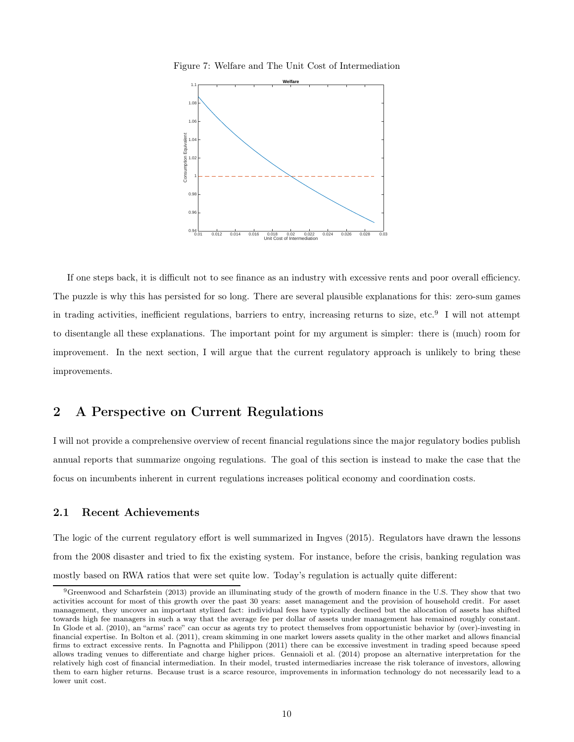Figure 7: Welfare and The Unit Cost of Intermediation



If one steps back, it is difficult not to see finance as an industry with excessive rents and poor overall efficiency. The puzzle is why this has persisted for so long. There are several plausible explanations for this: zero-sum games in trading activities, inefficient regulations, barriers to entry, increasing returns to size, etc.<sup>9</sup> I will not attempt to disentangle all these explanations. The important point for my argument is simpler: there is (much) room for improvement. In the next section, I will argue that the current regulatory approach is unlikely to bring these improvements.

## 2 A Perspective on Current Regulations

I will not provide a comprehensive overview of recent financial regulations since the major regulatory bodies publish annual reports that summarize ongoing regulations. The goal of this section is instead to make the case that the focus on incumbents inherent in current regulations increases political economy and coordination costs.

#### 2.1 Recent Achievements

The logic of the current regulatory effort is well summarized in Ingves (2015). Regulators have drawn the lessons from the 2008 disaster and tried to fix the existing system. For instance, before the crisis, banking regulation was mostly based on RWA ratios that were set quite low. Today's regulation is actually quite different:

<sup>9</sup>Greenwood and Scharfstein (2013) provide an illuminating study of the growth of modern finance in the U.S. They show that two activities account for most of this growth over the past 30 years: asset management and the provision of household credit. For asset management, they uncover an important stylized fact: individual fees have typically declined but the allocation of assets has shifted towards high fee managers in such a way that the average fee per dollar of assets under management has remained roughly constant. In Glode et al. (2010), an "arms' race" can occur as agents try to protect themselves from opportunistic behavior by (over)-investing in financial expertise. In Bolton et al. (2011), cream skimming in one market lowers assets quality in the other market and allows financial firms to extract excessive rents. In Pagnotta and Philippon (2011) there can be excessive investment in trading speed because speed allows trading venues to differentiate and charge higher prices. Gennaioli et al. (2014) propose an alternative interpretation for the relatively high cost of financial intermediation. In their model, trusted intermediaries increase the risk tolerance of investors, allowing them to earn higher returns. Because trust is a scarce resource, improvements in information technology do not necessarily lead to a lower unit cost.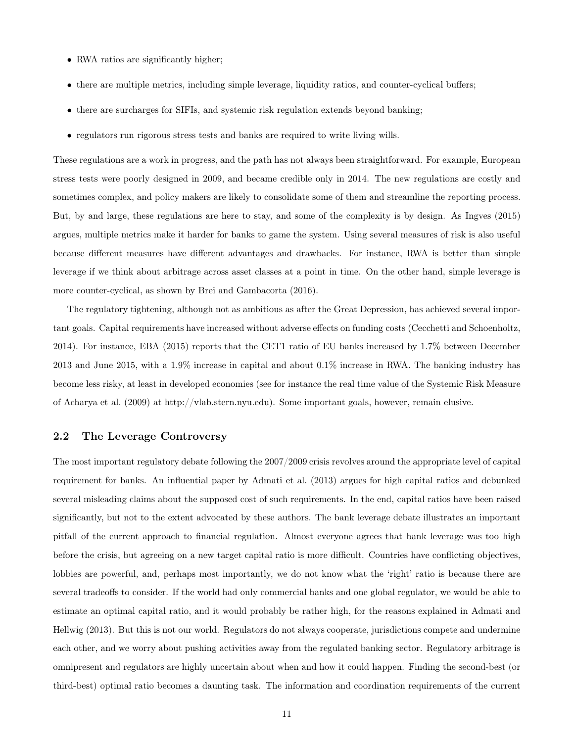- RWA ratios are significantly higher;
- there are multiple metrics, including simple leverage, liquidity ratios, and counter-cyclical buffers;
- there are surcharges for SIFIs, and systemic risk regulation extends beyond banking;
- regulators run rigorous stress tests and banks are required to write living wills.

These regulations are a work in progress, and the path has not always been straightforward. For example, European stress tests were poorly designed in 2009, and became credible only in 2014. The new regulations are costly and sometimes complex, and policy makers are likely to consolidate some of them and streamline the reporting process. But, by and large, these regulations are here to stay, and some of the complexity is by design. As Ingves (2015) argues, multiple metrics make it harder for banks to game the system. Using several measures of risk is also useful because different measures have different advantages and drawbacks. For instance, RWA is better than simple leverage if we think about arbitrage across asset classes at a point in time. On the other hand, simple leverage is more counter-cyclical, as shown by Brei and Gambacorta (2016).

The regulatory tightening, although not as ambitious as after the Great Depression, has achieved several important goals. Capital requirements have increased without adverse effects on funding costs (Cecchetti and Schoenholtz, 2014). For instance, EBA (2015) reports that the CET1 ratio of EU banks increased by 1.7% between December 2013 and June 2015, with a 1.9% increase in capital and about 0.1% increase in RWA. The banking industry has become less risky, at least in developed economies (see for instance the real time value of the Systemic Risk Measure of Acharya et al. (2009) at http://vlab.stern.nyu.edu). Some important goals, however, remain elusive.

#### 2.2 The Leverage Controversy

The most important regulatory debate following the 2007/2009 crisis revolves around the appropriate level of capital requirement for banks. An influential paper by Admati et al. (2013) argues for high capital ratios and debunked several misleading claims about the supposed cost of such requirements. In the end, capital ratios have been raised significantly, but not to the extent advocated by these authors. The bank leverage debate illustrates an important pitfall of the current approach to financial regulation. Almost everyone agrees that bank leverage was too high before the crisis, but agreeing on a new target capital ratio is more difficult. Countries have conflicting objectives, lobbies are powerful, and, perhaps most importantly, we do not know what the 'right' ratio is because there are several tradeoffs to consider. If the world had only commercial banks and one global regulator, we would be able to estimate an optimal capital ratio, and it would probably be rather high, for the reasons explained in Admati and Hellwig (2013). But this is not our world. Regulators do not always cooperate, jurisdictions compete and undermine each other, and we worry about pushing activities away from the regulated banking sector. Regulatory arbitrage is omnipresent and regulators are highly uncertain about when and how it could happen. Finding the second-best (or third-best) optimal ratio becomes a daunting task. The information and coordination requirements of the current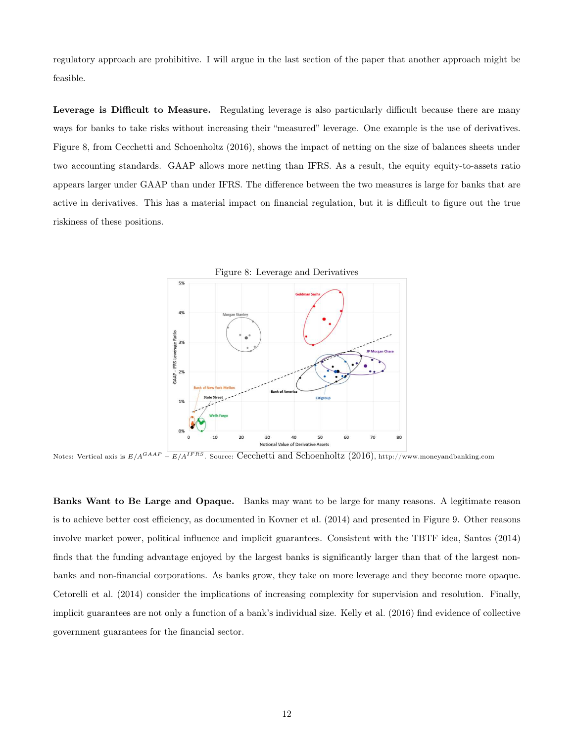regulatory approach are prohibitive. I will argue in the last section of the paper that another approach might be feasible.

Leverage is Difficult to Measure. Regulating leverage is also particularly difficult because there are many ways for banks to take risks without increasing their "measured" leverage. One example is the use of derivatives. Figure 8, from Cecchetti and Schoenholtz (2016), shows the impact of netting on the size of balances sheets under two accounting standards. GAAP allows more netting than IFRS. As a result, the equity equity-to-assets ratio appears larger under GAAP than under IFRS. The difference between the two measures is large for banks that are active in derivatives. This has a material impact on financial regulation, but it is difficult to figure out the true riskiness of these positions.



Notes: Vertical axis is  $E/A^{GAMP} - E/A^{IFRS}$ . Source: Cecchetti and Schoenholtz (2016), http://www.moneyandbanking.com

Banks Want to Be Large and Opaque. Banks may want to be large for many reasons. A legitimate reason is to achieve better cost efficiency, as documented in Kovner et al. (2014) and presented in Figure 9. Other reasons involve market power, political influence and implicit guarantees. Consistent with the TBTF idea, Santos (2014) finds that the funding advantage enjoyed by the largest banks is significantly larger than that of the largest nonbanks and non-financial corporations. As banks grow, they take on more leverage and they become more opaque. Cetorelli et al. (2014) consider the implications of increasing complexity for supervision and resolution. Finally, implicit guarantees are not only a function of a bank's individual size. Kelly et al. (2016) find evidence of collective government guarantees for the financial sector.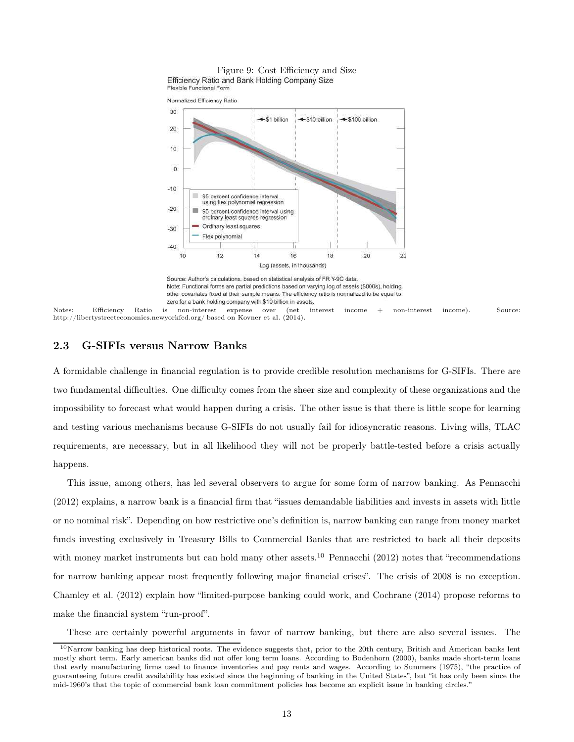

Normalized Efficiency Ratio



Source: Author's calculations, based on statistical analysis of FR Y-9C data. Note: Functional forms are partial predictions based on varying log of assets (\$000s), holding other covariates fixed at their sample means. The efficiency ratio is normalized to be equal to zero for a bank holding company with \$10 billion in assets.

Notes: Efficiency Ratio is non-interest expense over (net interest income + non-interest income). Source: http://libertystreeteconomics.newyorkfed.org/ based on Kovner et al. (2014).

### 2.3 G-SIFIs versus Narrow Banks

A formidable challenge in financial regulation is to provide credible resolution mechanisms for G-SIFIs. There are two fundamental difficulties. One difficulty comes from the sheer size and complexity of these organizations and the impossibility to forecast what would happen during a crisis. The other issue is that there is little scope for learning and testing various mechanisms because G-SIFIs do not usually fail for idiosyncratic reasons. Living wills, TLAC requirements, are necessary, but in all likelihood they will not be properly battle-tested before a crisis actually happens.

This issue, among others, has led several observers to argue for some form of narrow banking. As Pennacchi (2012) explains, a narrow bank is a financial firm that "issues demandable liabilities and invests in assets with little or no nominal risk". Depending on how restrictive one's definition is, narrow banking can range from money market funds investing exclusively in Treasury Bills to Commercial Banks that are restricted to back all their deposits with money market instruments but can hold many other assets.<sup>10</sup> Pennacchi (2012) notes that "recommendations for narrow banking appear most frequently following major financial crises". The crisis of 2008 is no exception. Chamley et al. (2012) explain how "limited-purpose banking could work, and Cochrane (2014) propose reforms to make the financial system "run-proof".

These are certainly powerful arguments in favor of narrow banking, but there are also several issues. The

 $10$ Narrow banking has deep historical roots. The evidence suggests that, prior to the 20th century, British and American banks lent mostly short term. Early american banks did not offer long term loans. According to Bodenhorn (2000), banks made short-term loans that early manufacturing firms used to finance inventories and pay rents and wages. According to Summers (1975), "the practice of guaranteeing future credit availability has existed since the beginning of banking in the United States", but "it has only been since the mid-1960's that the topic of commercial bank loan commitment policies has become an explicit issue in banking circles."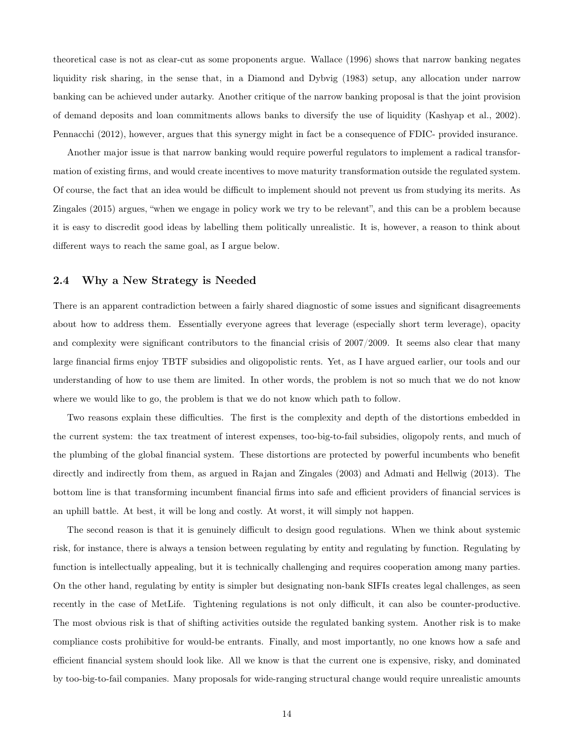theoretical case is not as clear-cut as some proponents argue. Wallace (1996) shows that narrow banking negates liquidity risk sharing, in the sense that, in a Diamond and Dybvig (1983) setup, any allocation under narrow banking can be achieved under autarky. Another critique of the narrow banking proposal is that the joint provision of demand deposits and loan commitments allows banks to diversify the use of liquidity (Kashyap et al., 2002). Pennacchi (2012), however, argues that this synergy might in fact be a consequence of FDIC- provided insurance.

Another major issue is that narrow banking would require powerful regulators to implement a radical transformation of existing firms, and would create incentives to move maturity transformation outside the regulated system. Of course, the fact that an idea would be difficult to implement should not prevent us from studying its merits. As Zingales (2015) argues, "when we engage in policy work we try to be relevant", and this can be a problem because it is easy to discredit good ideas by labelling them politically unrealistic. It is, however, a reason to think about different ways to reach the same goal, as I argue below.

#### 2.4 Why a New Strategy is Needed

There is an apparent contradiction between a fairly shared diagnostic of some issues and significant disagreements about how to address them. Essentially everyone agrees that leverage (especially short term leverage), opacity and complexity were significant contributors to the financial crisis of 2007/2009. It seems also clear that many large financial firms enjoy TBTF subsidies and oligopolistic rents. Yet, as I have argued earlier, our tools and our understanding of how to use them are limited. In other words, the problem is not so much that we do not know where we would like to go, the problem is that we do not know which path to follow.

Two reasons explain these difficulties. The first is the complexity and depth of the distortions embedded in the current system: the tax treatment of interest expenses, too-big-to-fail subsidies, oligopoly rents, and much of the plumbing of the global financial system. These distortions are protected by powerful incumbents who benefit directly and indirectly from them, as argued in Rajan and Zingales (2003) and Admati and Hellwig (2013). The bottom line is that transforming incumbent financial firms into safe and efficient providers of financial services is an uphill battle. At best, it will be long and costly. At worst, it will simply not happen.

The second reason is that it is genuinely difficult to design good regulations. When we think about systemic risk, for instance, there is always a tension between regulating by entity and regulating by function. Regulating by function is intellectually appealing, but it is technically challenging and requires cooperation among many parties. On the other hand, regulating by entity is simpler but designating non-bank SIFIs creates legal challenges, as seen recently in the case of MetLife. Tightening regulations is not only difficult, it can also be counter-productive. The most obvious risk is that of shifting activities outside the regulated banking system. Another risk is to make compliance costs prohibitive for would-be entrants. Finally, and most importantly, no one knows how a safe and efficient financial system should look like. All we know is that the current one is expensive, risky, and dominated by too-big-to-fail companies. Many proposals for wide-ranging structural change would require unrealistic amounts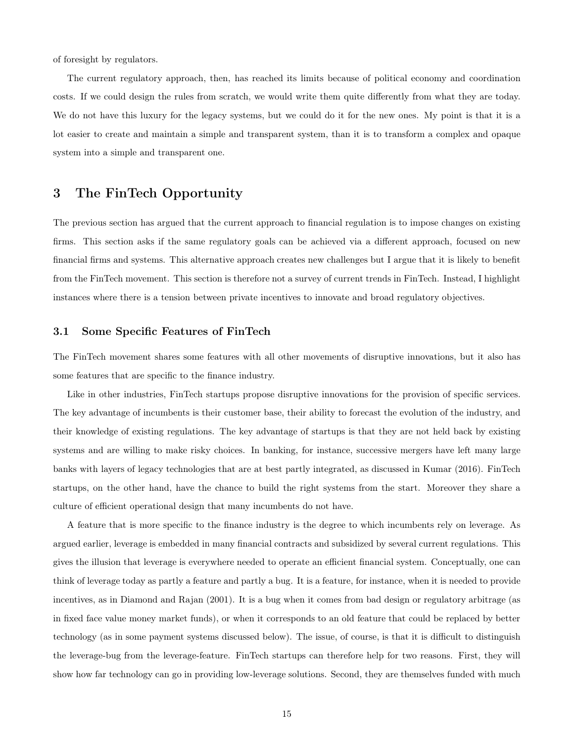of foresight by regulators.

The current regulatory approach, then, has reached its limits because of political economy and coordination costs. If we could design the rules from scratch, we would write them quite differently from what they are today. We do not have this luxury for the legacy systems, but we could do it for the new ones. My point is that it is a lot easier to create and maintain a simple and transparent system, than it is to transform a complex and opaque system into a simple and transparent one.

## 3 The FinTech Opportunity

The previous section has argued that the current approach to financial regulation is to impose changes on existing firms. This section asks if the same regulatory goals can be achieved via a different approach, focused on new financial firms and systems. This alternative approach creates new challenges but I argue that it is likely to benefit from the FinTech movement. This section is therefore not a survey of current trends in FinTech. Instead, I highlight instances where there is a tension between private incentives to innovate and broad regulatory objectives.

#### 3.1 Some Specific Features of FinTech

The FinTech movement shares some features with all other movements of disruptive innovations, but it also has some features that are specific to the finance industry.

Like in other industries, FinTech startups propose disruptive innovations for the provision of specific services. The key advantage of incumbents is their customer base, their ability to forecast the evolution of the industry, and their knowledge of existing regulations. The key advantage of startups is that they are not held back by existing systems and are willing to make risky choices. In banking, for instance, successive mergers have left many large banks with layers of legacy technologies that are at best partly integrated, as discussed in Kumar (2016). FinTech startups, on the other hand, have the chance to build the right systems from the start. Moreover they share a culture of efficient operational design that many incumbents do not have.

A feature that is more specific to the finance industry is the degree to which incumbents rely on leverage. As argued earlier, leverage is embedded in many financial contracts and subsidized by several current regulations. This gives the illusion that leverage is everywhere needed to operate an efficient financial system. Conceptually, one can think of leverage today as partly a feature and partly a bug. It is a feature, for instance, when it is needed to provide incentives, as in Diamond and Rajan (2001). It is a bug when it comes from bad design or regulatory arbitrage (as in fixed face value money market funds), or when it corresponds to an old feature that could be replaced by better technology (as in some payment systems discussed below). The issue, of course, is that it is difficult to distinguish the leverage-bug from the leverage-feature. FinTech startups can therefore help for two reasons. First, they will show how far technology can go in providing low-leverage solutions. Second, they are themselves funded with much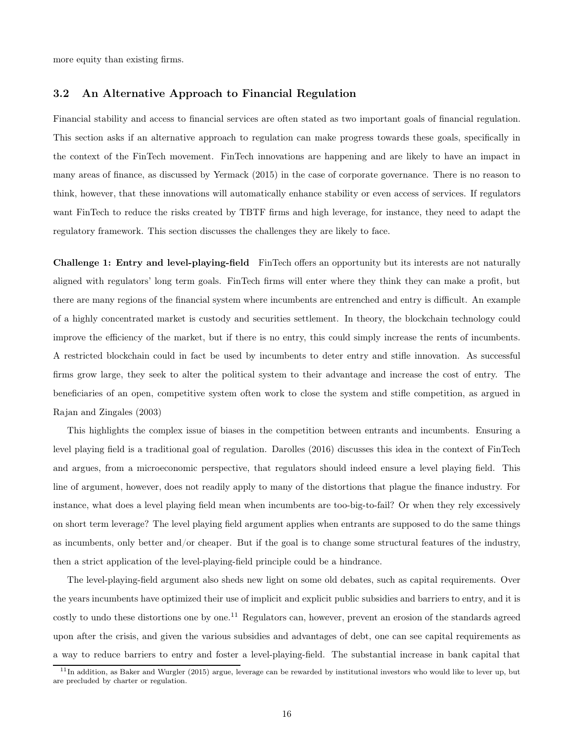more equity than existing firms.

### 3.2 An Alternative Approach to Financial Regulation

Financial stability and access to financial services are often stated as two important goals of financial regulation. This section asks if an alternative approach to regulation can make progress towards these goals, specifically in the context of the FinTech movement. FinTech innovations are happening and are likely to have an impact in many areas of finance, as discussed by Yermack (2015) in the case of corporate governance. There is no reason to think, however, that these innovations will automatically enhance stability or even access of services. If regulators want FinTech to reduce the risks created by TBTF firms and high leverage, for instance, they need to adapt the regulatory framework. This section discusses the challenges they are likely to face.

Challenge 1: Entry and level-playing-field FinTech offers an opportunity but its interests are not naturally aligned with regulators' long term goals. FinTech firms will enter where they think they can make a profit, but there are many regions of the financial system where incumbents are entrenched and entry is difficult. An example of a highly concentrated market is custody and securities settlement. In theory, the blockchain technology could improve the efficiency of the market, but if there is no entry, this could simply increase the rents of incumbents. A restricted blockchain could in fact be used by incumbents to deter entry and stifle innovation. As successful firms grow large, they seek to alter the political system to their advantage and increase the cost of entry. The beneficiaries of an open, competitive system often work to close the system and stifle competition, as argued in Rajan and Zingales (2003)

This highlights the complex issue of biases in the competition between entrants and incumbents. Ensuring a level playing field is a traditional goal of regulation. Darolles (2016) discusses this idea in the context of FinTech and argues, from a microeconomic perspective, that regulators should indeed ensure a level playing field. This line of argument, however, does not readily apply to many of the distortions that plague the finance industry. For instance, what does a level playing field mean when incumbents are too-big-to-fail? Or when they rely excessively on short term leverage? The level playing field argument applies when entrants are supposed to do the same things as incumbents, only better and/or cheaper. But if the goal is to change some structural features of the industry, then a strict application of the level-playing-field principle could be a hindrance.

The level-playing-field argument also sheds new light on some old debates, such as capital requirements. Over the years incumbents have optimized their use of implicit and explicit public subsidies and barriers to entry, and it is costly to undo these distortions one by one.<sup>11</sup> Regulators can, however, prevent an erosion of the standards agreed upon after the crisis, and given the various subsidies and advantages of debt, one can see capital requirements as a way to reduce barriers to entry and foster a level-playing-field. The substantial increase in bank capital that

 $11$ In addition, as Baker and Wurgler (2015) argue, leverage can be rewarded by institutional investors who would like to lever up, but are precluded by charter or regulation.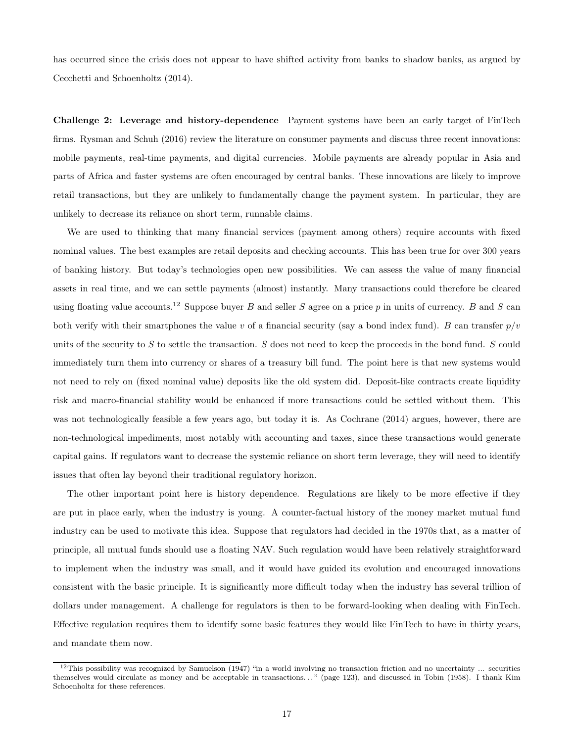has occurred since the crisis does not appear to have shifted activity from banks to shadow banks, as argued by Cecchetti and Schoenholtz (2014).

Challenge 2: Leverage and history-dependence Payment systems have been an early target of FinTech firms. Rysman and Schuh (2016) review the literature on consumer payments and discuss three recent innovations: mobile payments, real-time payments, and digital currencies. Mobile payments are already popular in Asia and parts of Africa and faster systems are often encouraged by central banks. These innovations are likely to improve retail transactions, but they are unlikely to fundamentally change the payment system. In particular, they are unlikely to decrease its reliance on short term, runnable claims.

We are used to thinking that many financial services (payment among others) require accounts with fixed nominal values. The best examples are retail deposits and checking accounts. This has been true for over 300 years of banking history. But today's technologies open new possibilities. We can assess the value of many financial assets in real time, and we can settle payments (almost) instantly. Many transactions could therefore be cleared using floating value accounts.<sup>12</sup> Suppose buyer B and seller S agree on a price p in units of currency. B and S can both verify with their smartphones the value v of a financial security (say a bond index fund). B can transfer  $p/v$ units of the security to  $S$  to settle the transaction.  $S$  does not need to keep the proceeds in the bond fund.  $S$  could immediately turn them into currency or shares of a treasury bill fund. The point here is that new systems would not need to rely on (fixed nominal value) deposits like the old system did. Deposit-like contracts create liquidity risk and macro-financial stability would be enhanced if more transactions could be settled without them. This was not technologically feasible a few years ago, but today it is. As Cochrane (2014) argues, however, there are non-technological impediments, most notably with accounting and taxes, since these transactions would generate capital gains. If regulators want to decrease the systemic reliance on short term leverage, they will need to identify issues that often lay beyond their traditional regulatory horizon.

The other important point here is history dependence. Regulations are likely to be more effective if they are put in place early, when the industry is young. A counter-factual history of the money market mutual fund industry can be used to motivate this idea. Suppose that regulators had decided in the 1970s that, as a matter of principle, all mutual funds should use a floating NAV. Such regulation would have been relatively straightforward to implement when the industry was small, and it would have guided its evolution and encouraged innovations consistent with the basic principle. It is significantly more difficult today when the industry has several trillion of dollars under management. A challenge for regulators is then to be forward-looking when dealing with FinTech. Effective regulation requires them to identify some basic features they would like FinTech to have in thirty years, and mandate them now.

<sup>&</sup>lt;sup>12</sup>This possibility was recognized by Samuelson (1947) "in a world involving no transaction friction and no uncertainty ... securities themselves would circulate as money and be acceptable in transactions. . . " (page 123), and discussed in Tobin (1958). I thank Kim Schoenholtz for these references.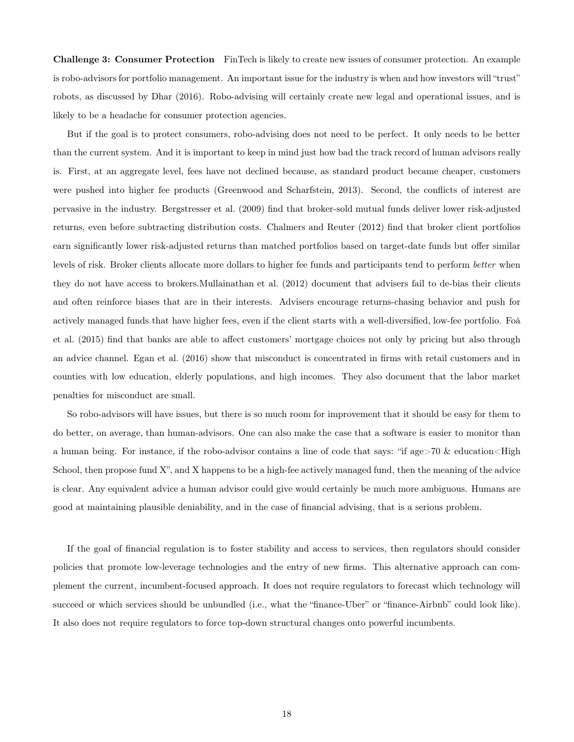Challenge 3: Consumer Protection FinTech is likely to create new issues of consumer protection. An example is robo-advisors for portfolio management. An important issue for the industry is when and how investors will "trust" robots, as discussed by Dhar (2016). Robo-advising will certainly create new legal and operational issues, and is likely to be a headache for consumer protection agencies.

But if the goal is to protect consumers, robo-advising does not need to be perfect. It only needs to be better than the current system. And it is important to keep in mind just how bad the track record of human advisors really is. First, at an aggregate level, fees have not declined because, as standard product became cheaper, customers were pushed into higher fee products (Greenwood and Scharfstein, 2013). Second, the conflicts of interest are pervasive in the industry. Bergstresser et al. (2009) find that broker-sold mutual funds deliver lower risk-adjusted returns, even before subtracting distribution costs. Chalmers and Reuter (2012) find that broker client portfolios earn significantly lower risk-adjusted returns than matched portfolios based on target-date funds but offer similar levels of risk. Broker clients allocate more dollars to higher fee funds and participants tend to perform better when they do not have access to brokers.Mullainathan et al. (2012) document that advisers fail to de-bias their clients and often reinforce biases that are in their interests. Advisers encourage returns-chasing behavior and push for actively managed funds that have higher fees, even if the client starts with a well-diversified, low-fee portfolio. Foà et al. (2015) find that banks are able to affect customers' mortgage choices not only by pricing but also through an advice channel. Egan et al. (2016) show that misconduct is concentrated in firms with retail customers and in counties with low education, elderly populations, and high incomes. They also document that the labor market penalties for misconduct are small.

So robo-advisors will have issues, but there is so much room for improvement that it should be easy for them to do better, on average, than human-advisors. One can also make the case that a software is easier to monitor than a human being. For instance, if the robo-advisor contains a line of code that says: "if age>70  $\&$  education<High School, then propose fund X", and X happens to be a high-fee actively managed fund, then the meaning of the advice is clear. Any equivalent advice a human advisor could give would certainly be much more ambiguous. Humans are good at maintaining plausible deniability, and in the case of financial advising, that is a serious problem.

If the goal of financial regulation is to foster stability and access to services, then regulators should consider policies that promote low-leverage technologies and the entry of new firms. This alternative approach can complement the current, incumbent-focused approach. It does not require regulators to forecast which technology will succeed or which services should be unbundled (i.e., what the "finance-Uber" or "finance-Airbnb" could look like). It also does not require regulators to force top-down structural changes onto powerful incumbents.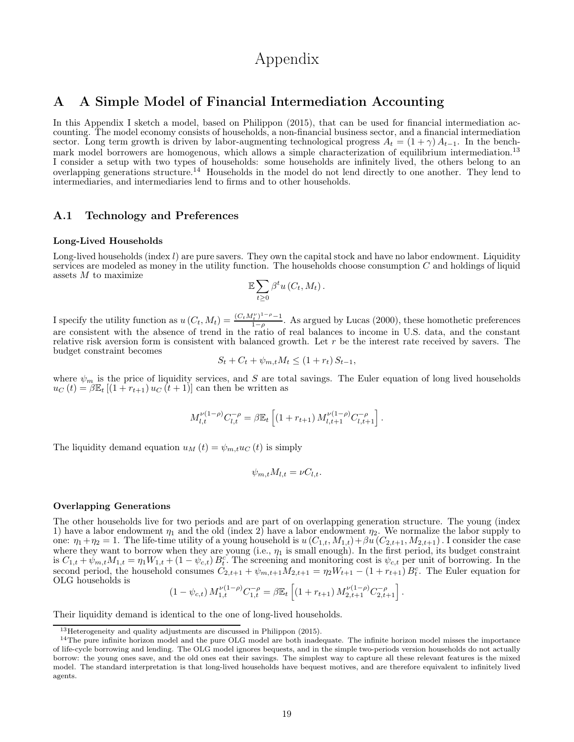# Appendix

## A A Simple Model of Financial Intermediation Accounting

In this Appendix I sketch a model, based on Philippon (2015), that can be used for financial intermediation accounting. The model economy consists of households, a non-financial business sector, and a financial intermediation sector. Long term growth is driven by labor-augmenting technological progress  $A_t = (1 + \gamma) A_{t-1}$ . In the benchmark model borrowers are homogenous, which allows a simple characterization of equilibrium intermediation.<sup>13</sup> I consider a setup with two types of households: some households are infinitely lived, the others belong to an overlapping generations structure.<sup>14</sup> Households in the model do not lend directly to one another. They lend to intermediaries, and intermediaries lend to firms and to other households.

### A.1 Technology and Preferences

#### Long-Lived Households

Long-lived households (index l) are pure savers. They own the capital stock and have no labor endowment. Liquidity services are modeled as money in the utility function. The households choose consumption C and holdings of liquid assets M to maximize

$$
\mathbb{E}\sum_{t\geq 0}\beta^t u(C_t, M_t).
$$

I specify the utility function as  $u(C_t, M_t) = \frac{(C_t M_t^{\nu})^{1-\rho}-1}{1-\rho}$ . As argued by Lucas (2000), these homothetic preferences are consistent with the absence of trend in the ratio of real balances to income in U.S. data, and the constant relative risk aversion form is consistent with balanced growth. Let r be the interest rate received by savers. The budget constraint becomes

$$
S_t + C_t + \psi_{m,t} M_t \le (1 + r_t) S_{t-1},
$$

where  $\psi_m$  is the price of liquidity services, and S are total savings. The Euler equation of long lived households  $u_C(t) = \beta \mathbb{E}_t [(1 + r_{t+1}) u_C(t+1)]$  can then be written as

$$
M_{l,t}^{\nu(1-\rho)}C_{l,t}^{-\rho} = \beta \mathbb{E}_t \left[ \left(1 + r_{t+1}\right) M_{l,t+1}^{\nu(1-\rho)} C_{l,t+1}^{-\rho} \right].
$$

The liquidity demand equation  $u_M(t) = \psi_{m,t} u_C(t)$  is simply

$$
\psi_{m,t} M_{l,t} = \nu C_{l,t}.
$$

#### Overlapping Generations

The other households live for two periods and are part of on overlapping generation structure. The young (index 1) have a labor endowment  $\eta_1$  and the old (index 2) have a labor endowment  $\eta_2$ . We normalize the labor supply to one:  $\eta_1+\eta_2=1$ . The life-time utility of a young household is  $u(C_{1,t}, M_{1,t})+\beta u(C_{2,t+1}, M_{2,t+1})$ . I consider the case where they want to borrow when they are young (i.e.,  $\eta_1$  is small enough). In the first period, its budget constraint is  $C_{1,t} + \psi_{m,t} M_{1,t} = \eta_1 W_{1,t} + (1 - \psi_{c,t}) B_t^c$ . The screening and monitoring cost is  $\psi_{c,t}$  per unit of borrowing. In the second period, the household consumes  $C_{2,t+1} + \psi_{m,t+1}M_{2,t+1} = \eta_2 W_{t+1} - (1 + r_{t+1})B_t^c$ . The Euler equation for OLG households is

$$
(1 - \psi_{c,t}) M_{1,t}^{\nu(1-\rho)} C_{1,t}^{-\rho} = \beta \mathbb{E}_t \left[ (1 + r_{t+1}) M_{2,t+1}^{\nu(1-\rho)} C_{2,t+1}^{-\rho} \right].
$$

Their liquidity demand is identical to the one of long-lived households.

<sup>&</sup>lt;sup>13</sup>Heterogeneity and quality adjustments are discussed in Philippon (2015).<br><sup>14</sup>The pure infinite horizon model and the pure OLG model are both inadequate. The infinite horizon model misses the importance of life-cycle borrowing and lending. The OLG model ignores bequests, and in the simple two-periods version households do not actually borrow: the young ones save, and the old ones eat their savings. The simplest way to capture all these relevant features is the mixed model. The standard interpretation is that long-lived households have bequest motives, and are therefore equivalent to infinitely lived agents.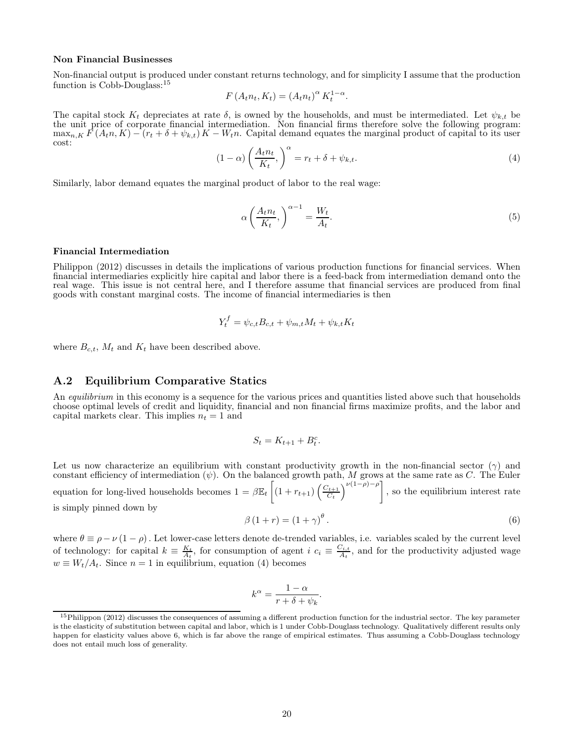#### Non Financial Businesses

Non-financial output is produced under constant returns technology, and for simplicity I assume that the production function is Cobb-Douglass:<sup>15</sup>

$$
F(A_t n_t, K_t) = (A_t n_t)^{\alpha} K_t^{1-\alpha}.
$$

The capital stock  $K_t$  depreciates at rate  $\delta$ , is owned by the households, and must be intermediated. Let  $\psi_{k,t}$  be the unit price of corporate financial intermediation. Non financial firms therefore solve the following program:  $\max_{n,K} F(A_t n, K) - (r_t + \delta + \psi_{k,t}) K - W_t n$ . Capital demand equates the marginal product of capital to its user cost:

$$
(1 - \alpha) \left(\frac{A_t n_t}{K_t},\right)^{\alpha} = r_t + \delta + \psi_{k,t}.
$$
\n<sup>(4)</sup>

Similarly, labor demand equates the marginal product of labor to the real wage:

$$
\alpha \left(\frac{A_t n_t}{K_t},\right)^{\alpha-1} = \frac{W_t}{A_t}.\tag{5}
$$

#### Financial Intermediation

Philippon (2012) discusses in details the implications of various production functions for financial services. When financial intermediaries explicitly hire capital and labor there is a feed-back from intermediation demand onto the real wage. This issue is not central here, and I therefore assume that financial services are produced from final goods with constant marginal costs. The income of financial intermediaries is then

$$
Y_t^f = \psi_{c,t} B_{c,t} + \psi_{m,t} M_t + \psi_{k,t} K_t
$$

where  $B_{c,t}$ ,  $M_t$  and  $K_t$  have been described above.

### A.2 Equilibrium Comparative Statics

An *equilibrium* in this economy is a sequence for the various prices and quantities listed above such that households choose optimal levels of credit and liquidity, financial and non financial firms maximize profits, and the labor and capital markets clear. This implies  $n_t = 1$  and

$$
S_t = K_{t+1} + B_t^c.
$$

Let us now characterize an equilibrium with constant productivity growth in the non-financial sector  $(\gamma)$  and constant efficiency of intermediation  $(\psi)$ . On the balanced growth path, M grows at the same rate as C. The Euler equation for long-lived households becomes  $1 = \beta \mathbb{E}_t \left[ (1 + r_{t+1}) \left( \frac{C_{t+1}}{C_t} \right)^{\nu(1-\rho)-\rho} \right]$ , so the equilibrium interest rate is simply pinned down by

$$
\beta(1+r) = (1+\gamma)^{\theta}.
$$
\n(6)

where  $\theta \equiv \rho - \nu (1 - \rho)$ . Let lower-case letters denote de-trended variables, i.e. variables scaled by the current level of technology: for capital  $k \equiv \frac{K_t}{A_t}$ , for consumption of agent  $i$   $c_i \equiv \frac{C_{i,t}}{A_t}$ , and for the productivity adjusted wage  $w \equiv W_t/A_t$ . Since  $n = 1$  in equilibrium, equation (4) becomes

$$
k^{\alpha} = \frac{1 - \alpha}{r + \delta + \psi_k}.
$$

 $15$ Philippon (2012) discusses the consequences of assuming a different production function for the industrial sector. The key parameter is the elasticity of substitution between capital and labor, which is 1 under Cobb-Douglass technology. Qualitatively different results only happen for elasticity values above 6, which is far above the range of empirical estimates. Thus assuming a Cobb-Douglass technology does not entail much loss of generality.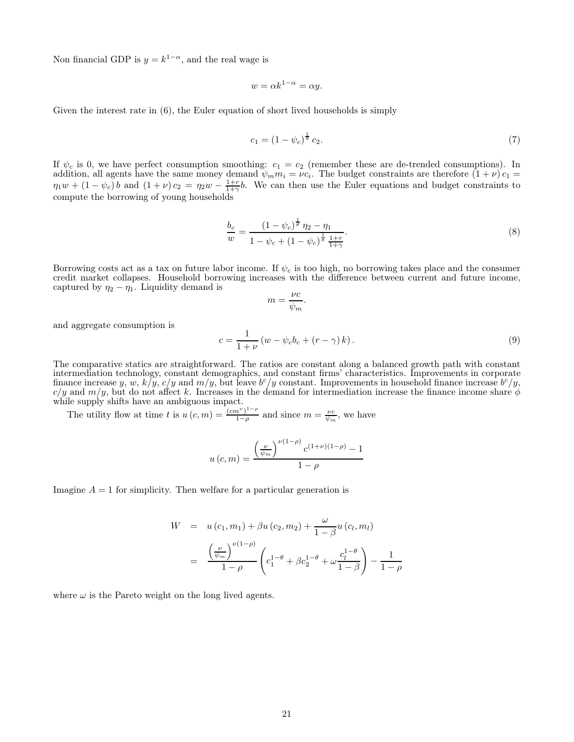Non financial GDP is  $y = k^{1-\alpha}$ , and the real wage is

$$
w = \alpha k^{1-\alpha} = \alpha y.
$$

Given the interest rate in  $(6)$ , the Euler equation of short lived households is simply

$$
c_1 = (1 - \psi_c)^{\frac{1}{\theta}} c_2. \tag{7}
$$

If  $\psi_c$  is 0, we have perfect consumption smoothing:  $c_1 = c_2$  (remember these are de-trended consumptions). In addition, all agents have the same money demand  $\psi_m m_i = \nu c_i$ . The budget constraints are therefore  $(1 + \nu) c_1 =$  $\eta_1 w + (1 - \psi_c) b$  and  $(1 + \nu) c_2 = \eta_2 w - \frac{1+r}{1+\gamma} b$ . We can then use the Euler equations and budget constraints to compute the borrowing of young households

$$
\frac{b_c}{w} = \frac{(1 - \psi_c)^{\frac{1}{\theta}} \eta_2 - \eta_1}{1 - \psi_c + (1 - \psi_c)^{\frac{1}{\theta}} \frac{1+r}{1+\gamma}}.
$$
\n(8)

Borrowing costs act as a tax on future labor income. If  $\psi_c$  is too high, no borrowing takes place and the consumer credit market collapses. Household borrowing increases with the difference between current and future income, captured by  $\eta_2 - \eta_1$ . Liquidity demand is

$$
m=\frac{\nu c}{\psi_m}
$$

.

and aggregate consumption is

$$
c = \frac{1}{1+\nu} \left( w - \psi_c b_c + \left( r - \gamma \right) k \right). \tag{9}
$$

The comparative statics are straightforward. The ratios are constant along a balanced growth path with constant intermediation technology, constant demographics, and constant firms' characteristics. Improvements in corporate finance increase y, w,  $k/y$ ,  $c/y$  and  $m/y$ , but leave  $b<sup>c</sup>/y$  constant. Improvements in household finance increase  $b<sup>c</sup>/y$ ,  $c/y$  and  $m/y$ , but do not affect k. Increases in the demand for intermediation increase the finance income share  $\phi$ while supply shifts have an ambiguous impact.

The utility flow at time t is  $u(c, m) = \frac{(cm^{\nu})^{1-\rho}}{1-\rho}$  and since  $m = \frac{\nu c}{\psi_m}$ , we have

$$
u(c,m) = \frac{\left(\frac{\nu}{\psi_m}\right)^{\nu(1-\rho)} c^{(1+\nu)(1-\rho)} - 1}{1-\rho}
$$

Imagine  $A = 1$  for simplicity. Then welfare for a particular generation is

$$
W = u(c_1, m_1) + \beta u(c_2, m_2) + \frac{\omega}{1 - \beta} u(c_l, m_l)
$$
  
= 
$$
\frac{\left(\frac{\nu}{\psi_m}\right)^{\nu(1 - \rho)}}{1 - \rho} \left(c_1^{1 - \theta} + \beta c_2^{1 - \theta} + \omega \frac{c_l^{1 - \theta}}{1 - \beta}\right) - \frac{1}{1 - \rho}
$$

where  $\omega$  is the Pareto weight on the long lived agents.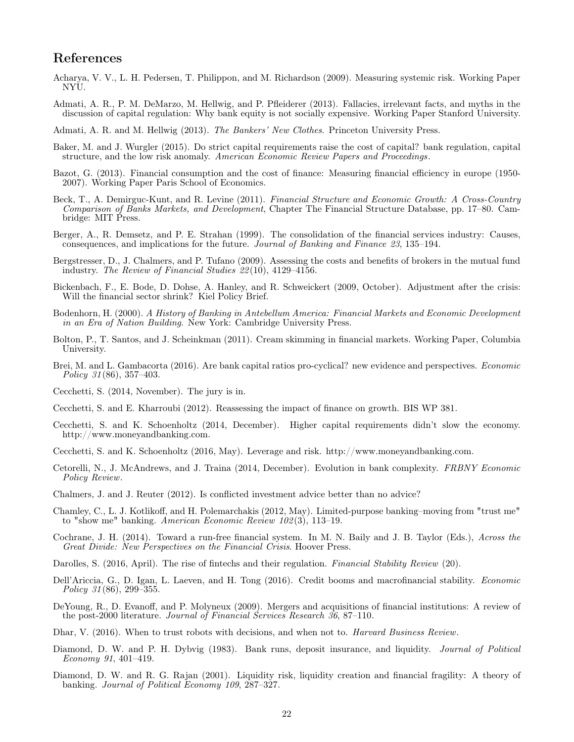## References

- Acharya, V. V., L. H. Pedersen, T. Philippon, and M. Richardson (2009). Measuring systemic risk. Working Paper NYU.
- Admati, A. R., P. M. DeMarzo, M. Hellwig, and P. Pfleiderer (2013). Fallacies, irrelevant facts, and myths in the discussion of capital regulation: Why bank equity is not socially expensive. Working Paper Stanford University.

Admati, A. R. and M. Hellwig (2013). The Bankers' New Clothes. Princeton University Press.

- Baker, M. and J. Wurgler (2015). Do strict capital requirements raise the cost of capital? bank regulation, capital structure, and the low risk anomaly. American Economic Review Papers and Proceedings.
- Bazot, G. (2013). Financial consumption and the cost of finance: Measuring financial efficiency in europe (1950- 2007). Working Paper Paris School of Economics.
- Beck, T., A. Demirguc-Kunt, and R. Levine (2011). Financial Structure and Economic Growth: A Cross-Country Comparison of Banks Markets, and Development, Chapter The Financial Structure Database, pp. 17–80. Cambridge: MIT Press.
- Berger, A., R. Demsetz, and P. E. Strahan (1999). The consolidation of the financial services industry: Causes, consequences, and implications for the future. Journal of Banking and Finance 23, 135–194.
- Bergstresser, D., J. Chalmers, and P. Tufano (2009). Assessing the costs and benefits of brokers in the mutual fund industry. The Review of Financial Studies 22(10), 4129–4156.
- Bickenbach, F., E. Bode, D. Dohse, A. Hanley, and R. Schweickert (2009, October). Adjustment after the crisis: Will the financial sector shrink? Kiel Policy Brief.
- Bodenhorn, H. (2000). A History of Banking in Antebellum America: Financial Markets and Economic Development in an Era of Nation Building. New York: Cambridge University Press.
- Bolton, P., T. Santos, and J. Scheinkman (2011). Cream skimming in financial markets. Working Paper, Columbia University.
- Brei, M. and L. Gambacorta (2016). Are bank capital ratios pro-cyclical? new evidence and perspectives. Economic Policy 31(86), 357–403.
- Cecchetti, S. (2014, November). The jury is in.
- Cecchetti, S. and E. Kharroubi (2012). Reassessing the impact of finance on growth. BIS WP 381.
- Cecchetti, S. and K. Schoenholtz (2014, December). Higher capital requirements didn't slow the economy. http://www.moneyandbanking.com.
- Cecchetti, S. and K. Schoenholtz (2016, May). Leverage and risk. http://www.moneyandbanking.com.
- Cetorelli, N., J. McAndrews, and J. Traina (2014, December). Evolution in bank complexity. FRBNY Economic Policy Review.
- Chalmers, J. and J. Reuter (2012). Is conflicted investment advice better than no advice?
- Chamley, C., L. J. Kotlikoff, and H. Polemarchakis (2012, May). Limited-purpose banking–moving from "trust me" to "show me" banking. American Economic Review 102(3), 113–19.
- Cochrane, J. H. (2014). Toward a run-free financial system. In M. N. Baily and J. B. Taylor (Eds.), Across the Great Divide: New Perspectives on the Financial Crisis. Hoover Press.
- Darolles, S. (2016, April). The rise of fintechs and their regulation. Financial Stability Review (20).
- Dell'Ariccia, G., D. Igan, L. Laeven, and H. Tong (2016). Credit booms and macrofinancial stability. Economic Policy 31(86), 299–355.
- DeYoung, R., D. Evanoff, and P. Molyneux (2009). Mergers and acquisitions of financial institutions: A review of the post-2000 literature. Journal of Financial Services Research 36, 87–110.
- Dhar, V. (2016). When to trust robots with decisions, and when not to. *Harvard Business Review*.
- Diamond, D. W. and P. H. Dybvig (1983). Bank runs, deposit insurance, and liquidity. Journal of Political Economy 91, 401–419.
- Diamond, D. W. and R. G. Rajan (2001). Liquidity risk, liquidity creation and financial fragility: A theory of banking. Journal of Political Economy 109, 287–327.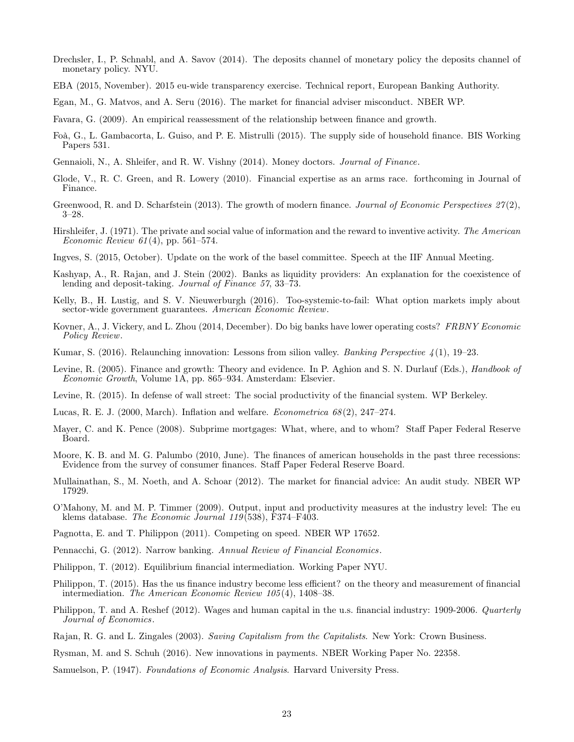- Drechsler, I., P. Schnabl, and A. Savov (2014). The deposits channel of monetary policy the deposits channel of monetary policy. NYU.
- EBA (2015, November). 2015 eu-wide transparency exercise. Technical report, European Banking Authority.
- Egan, M., G. Matvos, and A. Seru (2016). The market for financial adviser misconduct. NBER WP.
- Favara, G. (2009). An empirical reassessment of the relationship between finance and growth.
- Foà, G., L. Gambacorta, L. Guiso, and P. E. Mistrulli (2015). The supply side of household finance. BIS Working Papers 531.
- Gennaioli, N., A. Shleifer, and R. W. Vishny (2014). Money doctors. Journal of Finance.
- Glode, V., R. C. Green, and R. Lowery (2010). Financial expertise as an arms race. forthcoming in Journal of Finance.
- Greenwood, R. and D. Scharfstein (2013). The growth of modern finance. Journal of Economic Perspectives 27(2), 3–28.
- Hirshleifer, J. (1971). The private and social value of information and the reward to inventive activity. The American Economic Review 61(4), pp. 561–574.
- Ingves, S. (2015, October). Update on the work of the basel committee. Speech at the IIF Annual Meeting.
- Kashyap, A., R. Rajan, and J. Stein (2002). Banks as liquidity providers: An explanation for the coexistence of lending and deposit-taking. Journal of Finance 57, 33–73.
- Kelly, B., H. Lustig, and S. V. Nieuwerburgh (2016). Too-systemic-to-fail: What option markets imply about sector-wide government guarantees. American Economic Review.
- Kovner, A., J. Vickery, and L. Zhou (2014, December). Do big banks have lower operating costs? FRBNY Economic Policy Review.
- Kumar, S. (2016). Relaunching innovation: Lessons from silion valley. Banking Perspective  $\lambda(1)$ , 19–23.
- Levine, R. (2005). Finance and growth: Theory and evidence. In P. Aghion and S. N. Durlauf (Eds.), *Handbook of* Economic Growth, Volume 1A, pp. 865–934. Amsterdam: Elsevier.
- Levine, R. (2015). In defense of wall street: The social productivity of the financial system. WP Berkeley.
- Lucas, R. E. J. (2000, March). Inflation and welfare. *Econometrica*  $68(2)$ , 247–274.
- Mayer, C. and K. Pence (2008). Subprime mortgages: What, where, and to whom? Staff Paper Federal Reserve Board.
- Moore, K. B. and M. G. Palumbo (2010, June). The finances of american households in the past three recessions: Evidence from the survey of consumer finances. Staff Paper Federal Reserve Board.
- Mullainathan, S., M. Noeth, and A. Schoar (2012). The market for financial advice: An audit study. NBER WP 17929.
- O'Mahony, M. and M. P. Timmer (2009). Output, input and productivity measures at the industry level: The eu klems database. The Economic Journal 119(538), F374–F403.
- Pagnotta, E. and T. Philippon (2011). Competing on speed. NBER WP 17652.
- Pennacchi, G. (2012). Narrow banking. Annual Review of Financial Economics.
- Philippon, T. (2012). Equilibrium financial intermediation. Working Paper NYU.
- Philippon, T. (2015). Has the us finance industry become less efficient? on the theory and measurement of financial intermediation. The American Economic Review 105(4), 1408–38.
- Philippon, T. and A. Reshef (2012). Wages and human capital in the u.s. financial industry: 1909-2006. Quarterly Journal of Economics.
- Rajan, R. G. and L. Zingales (2003). Saving Capitalism from the Capitalists. New York: Crown Business.
- Rysman, M. and S. Schuh (2016). New innovations in payments. NBER Working Paper No. 22358.
- Samuelson, P. (1947). Foundations of Economic Analysis. Harvard University Press.